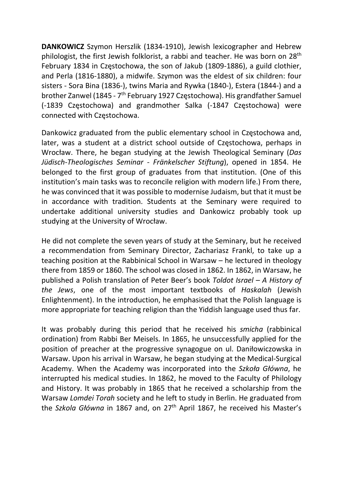DANKOWICZ Szymon Herszlik (1834-1910), Jewish lexicographer and Hebrew philologist, the first Jewish folklorist, a rabbi and teacher. He was born on 28th February 1834 in Częstochowa, the son of Jakub (1809-1886), a guild clothier, and Perla (1816-1880), a midwife. Szymon was the eldest of six children: four sisters - Sora Bina (1836-), twins Maria and Rywka (1840-), Estera (1844-) and a brother Zanwel (1845 - 7<sup>th</sup> February 1927 Częstochowa). His grandfather Samuel (-1839 Częstochowa) and grandmother Salka (-1847 Częstochowa) were connected with Częstochowa.

Dankowicz graduated from the public elementary school in Częstochowa and, later, was a student at a district school outside of Częstochowa, perhaps in Wrocław. There, he began studying at the Jewish Theological Seminary (Das Jüdisch-Theologisches Seminar - Fränkelscher Stiftung), opened in 1854. He belonged to the first group of graduates from that institution. (One of this institution's main tasks was to reconcile religion with modern life.) From there, he was convinced that it was possible to modernise Judaism, but that it must be in accordance with tradition. Students at the Seminary were required to undertake additional university studies and Dankowicz probably took up studying at the University of Wrocław.

He did not complete the seven years of study at the Seminary, but he received a recommendation from Seminary Director, Zachariasz Frankl, to take up a teaching position at the Rabbinical School in Warsaw – he lectured in theology there from 1859 or 1860. The school was closed in 1862. In 1862, in Warsaw, he published a Polish translation of Peter Beer's book Toldot Israel – A History of the Jews, one of the most important textbooks of Haskalah (Jewish Enlightenment). In the introduction, he emphasised that the Polish language is more appropriate for teaching religion than the Yiddish language used thus far.

It was probably during this period that he received his smicha (rabbinical ordination) from Rabbi Ber Meisels. In 1865, he unsuccessfully applied for the position of preacher at the progressive synagogue on ul. Daniłowiczowska in Warsaw. Upon his arrival in Warsaw, he began studying at the Medical-Surgical Academy. When the Academy was incorporated into the Szkoła Główna, he interrupted his medical studies. In 1862, he moved to the Faculty of Philology and History. It was probably in 1865 that he received a scholarship from the Warsaw Lomdei Torah society and he left to study in Berlin. He graduated from the Szkola Główna in 1867 and, on 27<sup>th</sup> April 1867, he received his Master's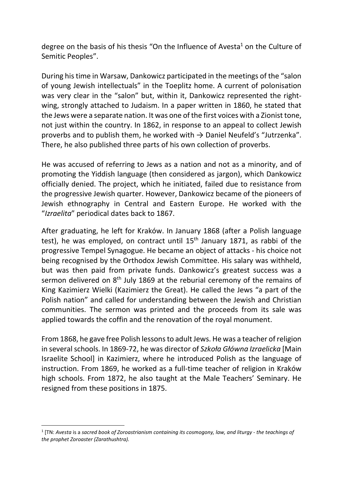degree on the basis of his thesis "On the Influence of Avesta<sup>1</sup> on the Culture of Semitic Peoples".

During his time in Warsaw, Dankowicz participated in the meetings of the "salon of young Jewish intellectuals" in the Toeplitz home. A current of polonisation was very clear in the "salon" but, within it, Dankowicz represented the rightwing, strongly attached to Judaism. In a paper written in 1860, he stated that the Jews were a separate nation. It was one of the first voices with a Zionist tone, not just within the country. In 1862, in response to an appeal to collect Jewish proverbs and to publish them, he worked with  $\rightarrow$  Daniel Neufeld's "Jutrzenka". There, he also published three parts of his own collection of proverbs.

He was accused of referring to Jews as a nation and not as a minority, and of promoting the Yiddish language (then considered as jargon), which Dankowicz officially denied. The project, which he initiated, failed due to resistance from the progressive Jewish quarter. However, Dankowicz became of the pioneers of Jewish ethnography in Central and Eastern Europe. He worked with the "Izraelita" periodical dates back to 1867.

After graduating, he left for Kraków. In January 1868 (after a Polish language test), he was employed, on contract until  $15<sup>th</sup>$  January 1871, as rabbi of the progressive Tempel Synagogue. He became an object of attacks - his choice not being recognised by the Orthodox Jewish Committee. His salary was withheld, but was then paid from private funds. Dankowicz's greatest success was a sermon delivered on 8<sup>th</sup> July 1869 at the reburial ceremony of the remains of King Kazimierz Wielki (Kazimierz the Great). He called the Jews "a part of the Polish nation" and called for understanding between the Jewish and Christian communities. The sermon was printed and the proceeds from its sale was applied towards the coffin and the renovation of the royal monument.

From 1868, he gave free Polish lessons to adult Jews. He was a teacher of religion in several schools. In 1869-72, he was director of Szkoła Główna Izraelicka [Main Israelite School] in Kazimierz, where he introduced Polish as the language of instruction. From 1869, he worked as a full-time teacher of religion in Kraków high schools. From 1872, he also taught at the Male Teachers' Seminary. He resigned from these positions in 1875.

 $1$  [TN: Avesta is a sacred book of Zoroastrianism containing its cosmogony, law, and liturgy - the teachings of the prophet Zoroaster (Zarathushtra).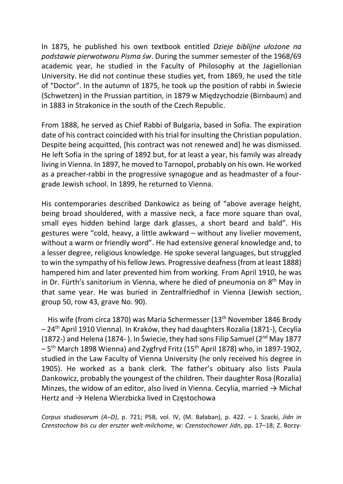In 1875, he published his own textbook entitled Dzieje biblijne ułożone na podstawie pierwotworu Pisma św. During the summer semester of the 1968/69 academic year, he studied in the Faculty of Philosophy at the Jagiellonian University. He did not continue these studies yet, from 1869, he used the title of "Doctor". In the autumn of 1875, he took up the position of rabbi in Świecie (Schwetzen) in the Prussian partition, in 1879 w Międzychodzie (Birnbaum) and in 1883 in Strakonice in the south of the Czech Republic.

From 1888, he served as Chief Rabbi of Bulgaria, based in Sofia. The expiration date of his contract coincided with his trial for insulting the Christian population. Despite being acquitted, [his contract was not renewed and] he was dismissed. He left Sofia in the spring of 1892 but, for at least a year, his family was already living in Vienna. In 1897, he moved to Tarnopol, probably on his own. He worked as a preacher-rabbi in the progressive synagogue and as headmaster of a fourgrade Jewish school. In 1899, he returned to Vienna.

His contemporaries described Dankowicz as being of "above average height, being broad shouldered, with a massive neck, a face more square than oval, small eyes hidden behind large dark glasses, a short beard and bald". His gestures were "cold, heavy, a little awkward – without any livelier movement, without a warm or friendly word". He had extensive general knowledge and, to a lesser degree, religious knowledge. He spoke several languages, but struggled to win the sympathy of his fellow Jews. Progressive deafness (from at least 1888) hampered him and later prevented him from working. From April 1910, he was in Dr. Fürth's sanitorium in Vienna, where he died of pneumonia on 8<sup>th</sup> May in that same year. He was buried in Zentralfriedhof in Vienna (Jewish section, group 50, row 43, grave No. 90).

His wife (from circa 1870) was Maria Schermesser (13<sup>th</sup> November 1846 Brody – 24th April 1910 Vienna). In Kraków, they had daughters Rozalia (1871-), Cecylia (1872-) and Helena (1874-). In Świecie, they had sons Filip Samuel ( $2<sup>nd</sup>$  May 1877 – 5th March 1898 Wienna) and Zygfryd Fritz (15th April 1878) who, in 1897-1902, studied in the Law Faculty of Vienna University (he only received his degree in 1905). He worked as a bank clerk. The father's obituary also lists Paula Dankowicz, probably the youngest of the children. Their daughter Rosa (Rozalia) Minzes, the widow of an editor, also lived in Vienna. Cecylia, married  $\rightarrow$  Michał Hertz and → Helena Wierzbicka lived in Częstochowa

Corpus studiosorum (A–D), p. 721; PSB, vol. IV, (M. Bałaban), p. 422. – J. Szacki, Jidn in Czenstochow bis cu der erszter welt-milchome, w: Czenstochower Jidn, pp. 17–18; Z. Borzy